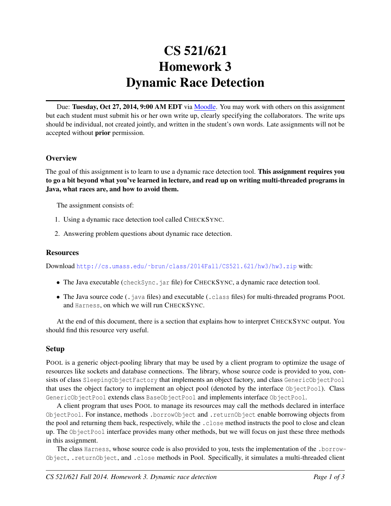# CS 521/621 Homework 3 Dynamic Race Detection

Due: Tuesday, Oct 27, 2014, 9:00 AM EDT via [Moodle.](https://moodle.umass.edu/course/view.php?id=17268) You may work with others on this assignment but each student must submit his or her own write up, clearly specifying the collaborators. The write ups should be individual, not created jointly, and written in the student's own words. Late assignments will not be accepted without prior permission.

# **Overview**

The goal of this assignment is to learn to use a dynamic race detection tool. This assignment requires you to go a bit beyond what you've learned in lecture, and read up on writing multi-threaded programs in Java, what races are, and how to avoid them.

The assignment consists of:

- 1. Using a dynamic race detection tool called CHECKSYNC.
- 2. Answering problem questions about dynamic race detection.

### **Resources**

Download [http://cs.umass.edu/˜brun/class/2014Fall/CS521.621/hw3/hw3.zip](http://cs.umass.edu/~brun/class/2014Fall/CS521.621/hw3/hw3.zip) with:

- The Java executable (checkSync. jar file) for CHECKSYNC, a dynamic race detection tool.
- The Java source code (.java files) and executable (.class files) for multi-threaded programs POOL and Harness, on which we will run CHECKSYNC.

At the end of this document, there is a section that explains how to interpret CHECKSYNC output. You should find this resource very useful.

# Setup

POOL is a generic object-pooling library that may be used by a client program to optimize the usage of resources like sockets and database connections. The library, whose source code is provided to you, consists of class SleepingObjectFactory that implements an object factory, and class GenericObjectPool that uses the object factory to implement an object pool (denoted by the interface ObjectPool). Class GenericObjectPool extends class BaseObjectPool and implements interface ObjectPool.

A client program that uses POOL to manage its resources may call the methods declared in interface ObjectPool. For instance, methods .borrowObject and .returnObject enable borrowing objects from the pool and returning them back, respectively, while the .close method instructs the pool to close and clean up. The ObjectPool interface provides many other methods, but we will focus on just these three methods in this assignment.

The class Harness, whose source code is also provided to you, tests the implementation of the .borrow-Object, .returnObject, and .close methods in Pool. Specifically, it simulates a multi-threaded client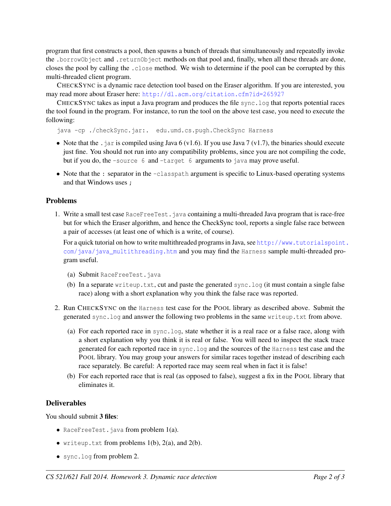program that first constructs a pool, then spawns a bunch of threads that simultaneously and repeatedly invoke the .borrowObject and .returnObject methods on that pool and, finally, when all these threads are done, closes the pool by calling the .close method. We wish to determine if the pool can be corrupted by this multi-threaded client program.

CHECKSYNC is a dynamic race detection tool based on the Eraser algorithm. If you are interested, you may read more about Eraser here: <http://dl.acm.org/citation.cfm?id=265927>

CHECKSYNC takes as input a Java program and produces the file sync.log that reports potential races the tool found in the program. For instance, to run the tool on the above test case, you need to execute the following:

java -cp ./checkSync.jar:. edu.umd.cs.pugh.CheckSync Harness

- Note that the . jar is compiled using Java 6 (v1.6). If you use Java 7 (v1.7), the binaries should execute just fine. You should not run into any compatibility problems, since you are not compiling the code, but if you do, the -source 6 and -target 6 arguments to java may prove useful.
- Note that the : separator in the -classpath argument is specific to Linux-based operating systems and that Windows uses ;

### Problems

1. Write a small test case RaceFreeTest.java containing a multi-threaded Java program that is race-free but for which the Eraser algorithm, and hence the CheckSync tool, reports a single false race between a pair of accesses (at least one of which is a write, of course).

For a quick tutorial on how to write multithreaded programs in Java, see [http://www.tutorialspoint](http://www.tutorialspoint.com/java/java_multithreading.htm). [com/java/java\\_multithreading.htm](http://www.tutorialspoint.com/java/java_multithreading.htm) and you may find the Harness sample multi-threaded program useful.

- (a) Submit RaceFreeTest.java
- (b) In a separate writeup.txt, cut and paste the generated sync.log (it must contain a single false race) along with a short explanation why you think the false race was reported.
- 2. Run CHECKSYNC on the Harness test case for the POOL library as described above. Submit the generated sync.log and answer the following two problems in the same writeup.txt from above.
	- (a) For each reported race in sync.log, state whether it is a real race or a false race, along with a short explanation why you think it is real or false. You will need to inspect the stack trace generated for each reported race in sync.log and the sources of the Harness test case and the POOL library. You may group your answers for similar races together instead of describing each race separately. Be careful: A reported race may seem real when in fact it is false!
	- (b) For each reported race that is real (as opposed to false), suggest a fix in the POOL library that eliminates it.

#### **Deliverables**

You should submit 3 files:

- RaceFreeTest.java from problem  $1(a)$ .
- writeup.txt from problems  $1(b)$ ,  $2(a)$ , and  $2(b)$ .
- sync.log from problem 2.